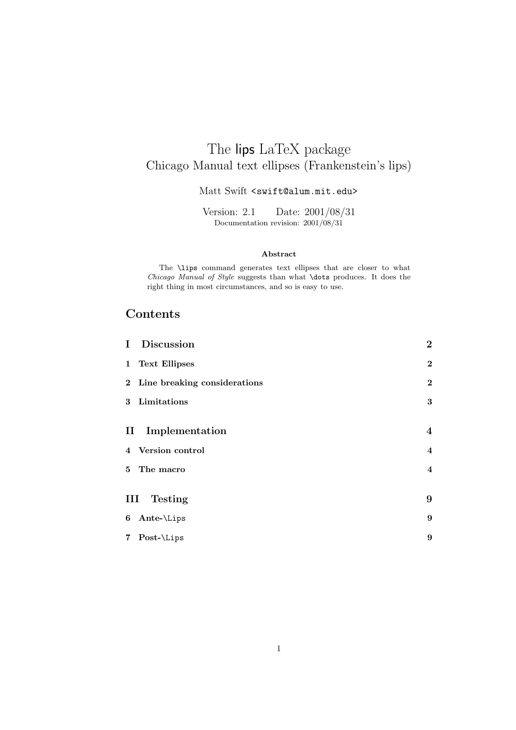# The lips LaTeX package Chicago Manual text ellipses (Frankenstein's lips)

#### Matt Swift <swift@alum.mit.edu>

Documentation revision:  $2001/08/31$ 

#### **Abstract**

The \lips command generates text ellipses that are closer to what *Chicago Manual of Style* suggests than what \dots produces. It does the right thing in most circumstances, and so is easy to use.

### **Contents**

| $\mathbf{I}$ | Discussion                     | $\bf{2}$                |
|--------------|--------------------------------|-------------------------|
|              | 1 Text Ellipses                | $\bf{2}$                |
|              | 2 Line breaking considerations | $\bf{2}$                |
|              | 3 Limitations                  | $\bf{3}$                |
|              |                                |                         |
|              | II Implementation              | $\bf{4}$                |
|              | 4 Version control              | $\bf{4}$                |
|              | 5 The macro                    | $\overline{\mathbf{4}}$ |
|              |                                |                         |
| Ш            | <b>Testing</b>                 | 9                       |
|              | 6 Ante- $\Lips$                | 9                       |
|              | 7 Post-\Lips                   | 9                       |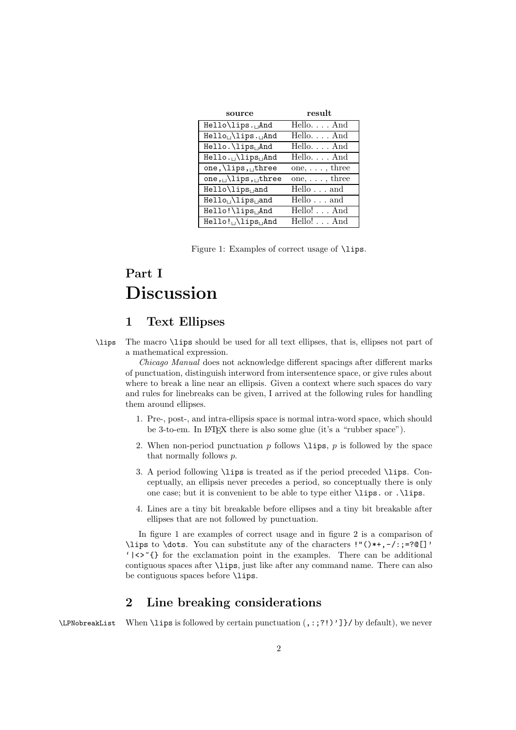| source                                      | result                               |
|---------------------------------------------|--------------------------------------|
| Hello\lips. <sub>U</sub> And                | Hello. And                           |
| Hello <sub>u</sub> \lips. <sub>u</sub> And  | HelloAnd                             |
| Hello. \lips <sub>Li</sub> And              | $Hello. \ldots And$                  |
| Hello. <sub>L</sub> \lips <sub>L</sub> And  | $Hello. \ldots And$                  |
| one, $\langle$ lips, three                  | one, $\dots$ , three                 |
| one, $\cup$ lips, $\cup$ three              | one, $\dots$ , three                 |
| Hello\lips <sub>u</sub> and                 | $\overline{\text{Hello}} \ldots$ and |
| Hello <sub>u</sub> \lips <sub>u</sub> and   | Hello and                            |
| Hello!\lips <sub>U</sub> And                | Hello! And                           |
| Hello! <sub>L</sub> \lips <sub>Li</sub> And | Hello! And                           |

Figure 1: Examples of correct usage of \lips.

# **Part I Discussion**

### **1 Text Ellipses**

\lips The macro \lips should be used for all text ellipses, that is, ellipses not part of a mathematical expression.

*Chicago Manual* does not acknowledge different spacings after different marks of punctuation, distinguish interword from intersentence space, or give rules about where to break a line near an ellipsis. Given a context where such spaces do vary and rules for linebreaks can be given, I arrived at the following rules for handling them around ellipses.

- 1. Pre-, post-, and intra-ellipsis space is normal intra-word space, which should be 3-to-em. In LAT<sub>EX</sub> there is also some glue (it's a "rubber space").
- 2. When non-period punctuation *p* follows \lips, *p* is followed by the space that normally follows *p*.
- 3. A period following \lips is treated as if the period preceded \lips. Conceptually, an ellipsis never precedes a period, so conceptually there is only one case; but it is convenient to be able to type either \lips. or .\lips.
- 4. Lines are a tiny bit breakable before ellipses and a tiny bit breakable after ellipses that are not followed by punctuation.

In figure 1 are examples of correct usage and in figure 2 is a comparison of \lips to \dots. You can substitute any of the characters  $\mathsf{I}''(\mathsf{I}^*,-\mathsf{I}^*;\mathsf{=?}\mathbb{C}[\mathsf{I}']$ ' $|\langle \rangle^*|$  for the exclamation point in the examples. There can be additional contiguous spaces after \lips, just like after any command name. There can also be contiguous spaces before \lips.

### **2 Line breaking considerations**

\LPNobreakList When \lips is followed by certain punctuation (,:;?!)']}/ by default), we never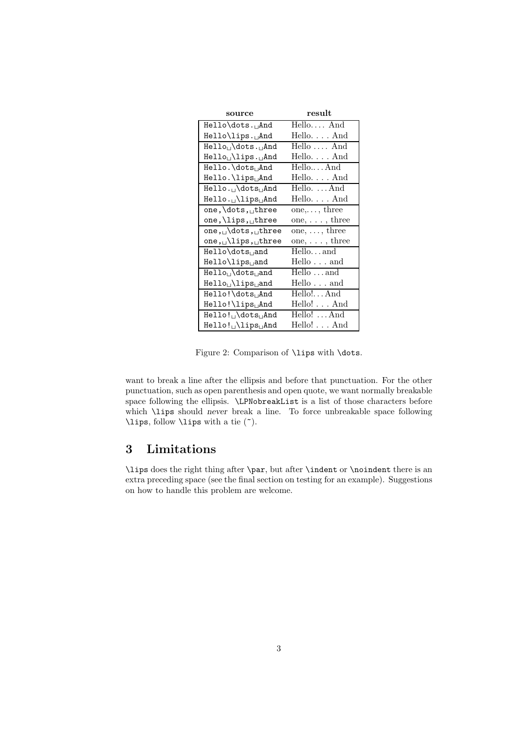| source                                      | result               |
|---------------------------------------------|----------------------|
| Hello\dots. <sub>U</sub> And                | Hello And            |
| Hello\lips. <sub>⊔</sub> And                | Hello. And           |
| Hello <sub>u</sub> \dots. <sub>u</sub> And  | Hello $\dots$ And    |
| Hello <sub>u</sub> \lips. <sub>u</sub> And  | HelloAnd             |
| Hello.\dots <sub>u</sub> And                | HelloAnd             |
| Hello. \lips <sub>U</sub> And               | HelloAnd             |
| Hello. <sub>L</sub> \dots <sub>LI</sub> And | Hello.  And          |
| $Hello. \cup \lceil \text{lips} \rceil$ And | Hello. And           |
| one, dots, three                            | $one, \ldots,$ three |
| one, \lips, uthree                          | one, $\dots$ , three |
| one, $\ldots$ dots, three                   | one, $\dots$ , three |
| one, $\cup$ lips, $\cup$ three              | one, $\dots$ , three |
| Hello\dots <sub>u</sub> and                 | Helloand             |
| $He11o\li$                                  | $Hello \ldots$ and   |
| $Hello_{\sqcup}$ dots and                   | Hello and            |
| Hello <sub>u</sub> \lips <sub>u</sub> and   | $Hello \ldots$ and   |
| $He11o!$ dots, And                          | Hello!And            |
| Hello!\lips <sub>⊔</sub> And                | Hello! And           |
| Hello! <sub>u</sub> \dots <sub>u</sub> And  | Hello!  And          |
| $Hello!$ $\lceil$ lips $\lceil$ And         | Hello! And           |

Figure 2: Comparison of \lips with \dots.

want to break a line after the ellipsis and before that punctuation. For the other punctuation, such as open parenthesis and open quote, we want normally breakable space following the ellipsis. \LPNobreakList is a list of those characters before which \lips should *never* break a line. To force unbreakable space following \lips, follow \lips with a tie (~).

## **3 Limitations**

\lips does the right thing after \par, but after \indent or \noindent there is an extra preceding space (see the final section on testing for an example). Suggestions on how to handle this problem are welcome.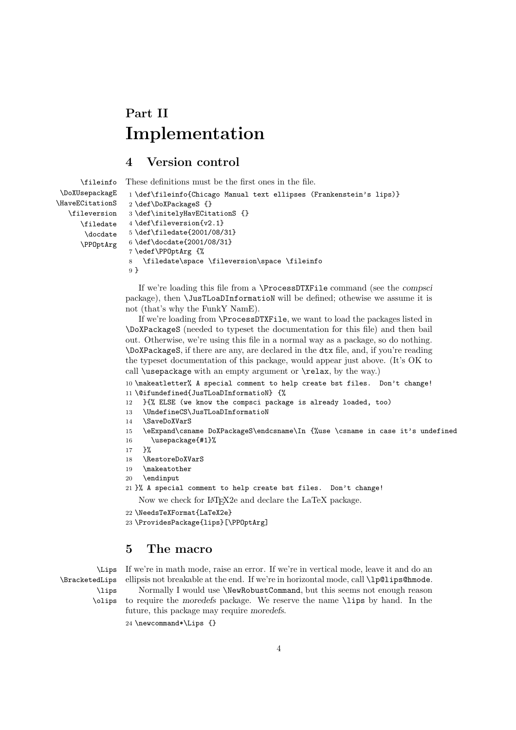# **Part II Implementation**

## **4 Version control**

```
\fileinfo
 \DoXUsepackagE
\HaveECitationS
   \fileversion
      \filedate
       \docdate
      \PPOptArg
                 These definitions must be the first ones in the file.
                  1 \def\fileinfo{Chicago Manual text ellipses (Frankenstein's lips)}
                  2 \def\DoXPackageS {}
                  3 \def\initelyHavECitationS {}
                  4 \def\fileversion{v2.1}
                  5 \def\filedate{2001/08/31}
                  6 \def\docdate{2001/08/31}
                  7 \edef\PPOptArg {%
                  8 \filedate\space \fileversion\space \fileinfo
                  9 }
```
If we're loading this file from a \ProcessDTXFile command (see the *compsci* package), then \JusTLoaDInformatioN will be defined; othewise we assume it is not (that's why the FunkY NamE).

If we're loading from \ProcessDTXFile, we want to load the packages listed in \DoXPackageS (needed to typeset the documentation for this file) and then bail out. Otherwise, we're using this file in a normal way as a package, so do nothing. \DoXPackageS, if there are any, are declared in the dtx file, and, if you're reading the typeset documentation of this package, would appear just above. (It's OK to call \usepackage with an empty argument or \relax, by the way.)

10 \makeatletter% A special comment to help create bst files. Don't change! 11 \@ifundefined{JusTLoaDInformatioN} {%

- 12 }{% ELSE (we know the compsci package is already loaded, too)
- 13 \UndefineCS\JusTLoaDInformatioN
- 14 \SaveDoXVarS
- 15 \eExpand\csname DoXPackageS\endcsname\In {%use \csname in case it's undefined
- 16 \usepackage{#1}%
- 17 }%
- 18 \RestoreDoXVarS
- 19 \makeatother
- 20 \endinput
- 21 }% A special comment to help create bst files. Don't change!
	- Now we check for LAT<sub>E</sub>X2e and declare the LaTeX package.
- 22 \NeedsTeXFormat{LaTeX2e}
- 23 \ProvidesPackage{lips}[\PPOptArg]

### **5 The macro**

\Lips \BracketedLips \lips

If we're in math mode, raise an error. If we're in vertical mode, leave it and do an ellipsis not breakable at the end. If we're in horizontal mode, call \lp@lips@hmode. Normally I would use \NewRobustCommand, but this seems not enough reason

\olips to require the *moredefs* package. We reserve the name \lips by hand. In the future, this package may require *moredefs*.

24 \newcommand\*\Lips {}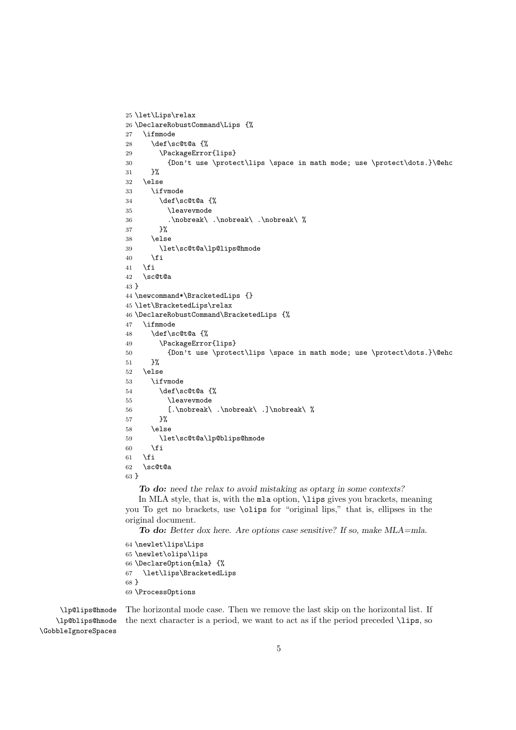```
25 \let\Lips\relax
26 \DeclareRobustCommand\Lips {%
27 \ifmmode
28 \def\sc@t@a {%
29 \PackageError{lips}
30 {Don't use \protect\lips \space in math mode; use \protect\dots.}\@ehc
31 }%
32 \else
33 \ifvmode
34 \def\sc@t@a {%
35 \leavevmode
36 .\nobreak\ .\nobreak\ .\nobreak\ %
37 }%
38 \else
39 \let\sc@t@a\lp@lips@hmode
40 \fi
41 \fi
42 \sc@t@a
43 }
44 \newcommand*\BracketedLips {}
45 \let\BracketedLips\relax
46 \DeclareRobustCommand\BracketedLips {%
47 \ifmmode
48 \def\sc@t@a {%
49 \PackageError{lips}
50 {Don't use \protect\lips \space in math mode; use \protect\dots.}\@ehc
51 }%
52 \else
53 \ifvmode
54 \def\sc@t@a {%
55 \leavevmode
56 [.\nobreak\ .\nobreak\ .]\nobreak\ %
57 }%
58 \leq \leq \leq \leq \leq \leq \leq \leq \leq \leq \leq \leq \leq \leq \leq \leq \leq \leq \leq \leq \leq \leq \leq \leq \leq \leq \leq \leq \leq \leq \leq \leq \leq \leq \leq \leq 
59 \let\sc@t@a\lp@blips@hmode
60 \overrightarrow{fi}61 \fi
62 \sc@t@a
63 }
```
*To do: need the relax to avoid mistaking as optarg in some contexts?*

In MLA style, that is, with the mla option, \lips gives you brackets, meaning you To get no brackets, use \olips for "original lips," that is, ellipses in the original document.

*To do: Better dox here. Are options case sensitive? If so, make MLA=mla.*

 \newlet\lips\Lips \newlet\olips\lips \DeclareOption{mla} {% \let\lips\BracketedLips } \ProcessOptions

\lp@lips@hmode \lp@blips@hmode \GobbleIgnoreSpaces The horizontal mode case. Then we remove the last skip on the horizontal list. If the next character is a period, we want to act as if the period preceded \lips, so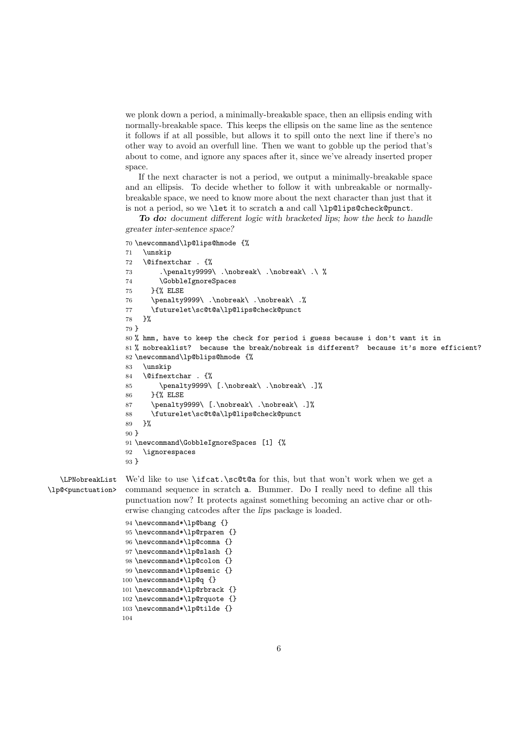we plonk down a period, a minimally-breakable space, then an ellipsis ending with normally-breakable space. This keeps the ellipsis on the same line as the sentence it follows if at all possible, but allows it to spill onto the next line if there's no other way to avoid an overfull line. Then we want to gobble up the period that's about to come, and ignore any spaces after it, since we've already inserted proper space.

If the next character is not a period, we output a minimally-breakable space and an ellipsis. To decide whether to follow it with unbreakable or normallybreakable space, we need to know more about the next character than just that it is not a period, so we \let it to scratch a and call \lp@lips@check@punct.

*To do: document different logic with bracketed lips; how the heck to handle greater inter-sentence space?*

```
70 \newcommand\lp@lips@hmode {%
71 \unskip
72 \@ifnextchar . {%
73 .\penalty9999\ .\nobreak\ .\nobreak\ .\ %
74 \GobbleIgnoreSpaces
75 }{% ELSE
76 \penalty9999\ .\nobreak\ .\nobreak\ .%
77 \futurelet\sc@t@a\lp@lips@check@punct
78 }%
79 }
80 % hmm, have to keep the check for period i guess because i don't want it in
81 % nobreaklist? because the break/nobreak is different? because it's more efficient?
82 \newcommand\lp@blips@hmode {%
83 \unskip
84 \@ifnextchar . {%
85 \penalty9999\ [.\nobreak\ .\nobreak\ .]%
86 }{% ELSE
87 \penalty9999\ [.\nobreak\ .\nobreak\ .]%
88 \futurelet\sc@t@a\lp@lips@check@punct
89 }%
90 }
91 \newcommand\GobbleIgnoreSpaces [1] {%
92 \ignorespaces
93 }
```
\LPNobreakList \lp@<punctuation>

We'd like to use **\ifcat.\sc@t@a** for this, but that won't work when we get a command sequence in scratch a. Bummer. Do I really need to define all this punctuation now? It protects against something becoming an active char or otherwise changing catcodes after the *lips* package is loaded.

```
94 \newcommand*\lp@bang {}
95 \newcommand*\lp@rparen {}
96 \newcommand*\lp@comma {}
97 \newcommand*\lp@slash {}
98 \newcommand*\lp@colon {}
99 \newcommand*\lp@semic {}
100 \newcommand*\lp@q {}
101 \newcommand*\lp@rbrack {}
102 \newcommand*\lp@rquote {}
103 \newcommand*\lp@tilde {}
104
```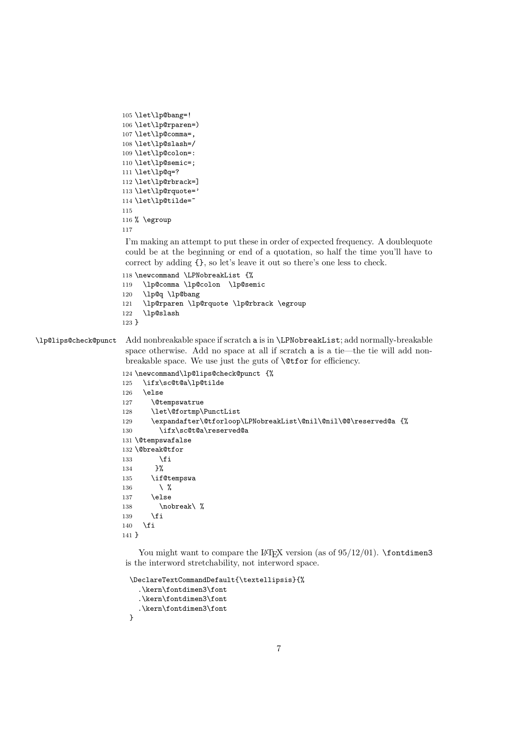```
105 \let\lp@bang=!
106 \let\lp@rparen=)
107 \let\lp@comma=,
108 \let\lp@slash=/
109 \let\lp@colon=:
110 \let\lp@semic=;
111 \let\lp@q=?
112 \let\lp@rbrack=]
113 \let\lp@rquote='
114 \let\lp@tilde="
115
116 % \egroup
117
```
I'm making an attempt to put these in order of expected frequency. A doublequote could be at the beginning or end of a quotation, so half the time you'll have to correct by adding {}, so let's leave it out so there's one less to check.

```
118 \newcommand \LPNobreakList {%
119 \lp@comma \lp@colon \lp@semic
120 \lp@q \lp@bang
121 \lp@rparen \lp@rquote \lp@rbrack \egroup
122 \lp@slash
123 }
```
\lp@lips@check@punct Add nonbreakable space if scratch a is in \LPNobreakList; add normally-breakable space otherwise. Add no space at all if scratch a is a tie—the tie will add nonbreakable space. We use just the guts of \@tfor for efficiency.

```
124 \newcommand\lp@lips@check@punct {%
```

```
125 \ifx\sc@t@a\lp@tilde
126 \else
127 \@tempswatrue
128 \let\@fortmp\PunctList
129 \expandafter\@tforloop\LPNobreakList\@nil\@nil\@@\reserved@a {%
130 \ifx\sc@t@a\reserved@a
131 \@tempswafalse
132 \@break@tfor
133 \fi
134 }%
135 \if@tempswa
136 \setminus \mathcal{V}<br>137 \else
       \else
138 \nobreak\ %
139 \overrightarrow{fi}140 \overline{ifi}141 }
```
You might want to compare the LATEX version (as of  $95/12/01$ ). **\fontdimen3** is the interword stretchability, not interword space.

```
\DeclareTextCommandDefault{\textellipsis}{%
  .\kern\fontdimen3\font
  .\kern\fontdimen3\font
  .\kern\fontdimen3\font
}
```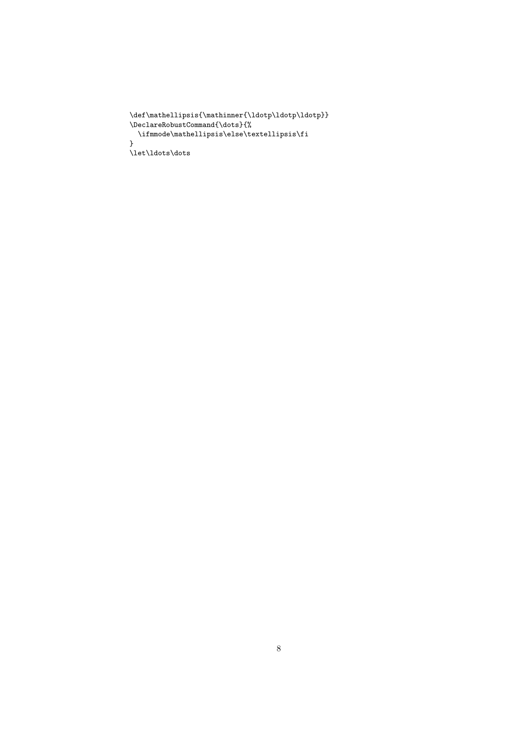```
\label{thm:main} $$\def\mathell\psi\left\mathcal{\ldot}Idotp\ldot p}\dotp\d\theta\}\verb+\DeclareRobustCommand{\dots}{{\dots}}\ifmmode\mathellipsis\else\textellipsis\fi
}
\let\ldots\dots
```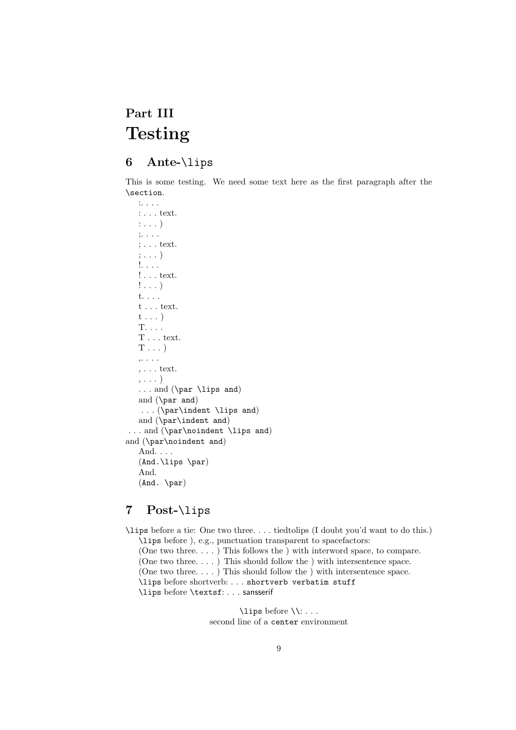# **Part III Testing**

## **6 Ante-**\lips

This is some testing. We need some text here as the first paragraph after the \section.

:. . . . : . . . text. :...) ;. . . . ; . . . text. ;...) !. . . . ! . . . text. !...) t. . . .  $t$  . . . text. t...) T. . . . T . . . text.  $T \ldots$ ) ,. . . .  $, \ldots$  text. ,...) . . . and (\par \lips and) and (\par and) ...(\par\indent \lips and) and (\par\indent and) . . . and (\par\noindent \lips and) and (\par\noindent and) And. . . . (And.\lips \par) And. (And. \par)

### **7 Post-**\lips

\lips before a tie: One two three. . . . tiedtolips (I doubt you'd want to do this.) \lips before ), e.g., punctuation transparent to spacefactors: (One two three. . . . ) This follows the ) with interword space, to compare. (One two three....) This should follow the ) with intersentence space. (One two three....) This should follow the ) with intersentence space. \lips before shortverb: . . . shortverb verbatim stuff \lips before \textsf:... sansserif

> \lips before \\:... second line of a center environment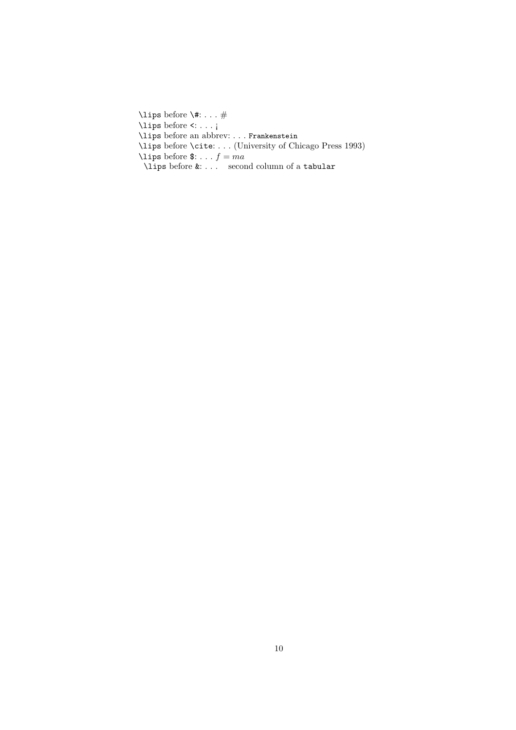\lips before \#:...# \lips before <:...¡ \lips before an abbrev: . . . Frankenstein \lips before \cite: . . . (University of Chicago Press 1993) \lips before  $\mathbf{\$}: \dots f = ma$ \lips before &: . . . second column of a tabular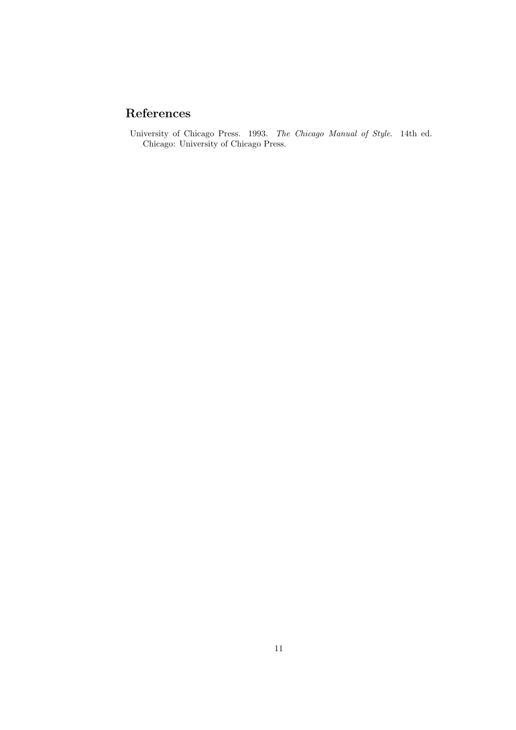# **References**

University of Chicago Press. 1993. *The Chicago Manual of Style*. 14th ed. Chicago: University of Chicago Press.